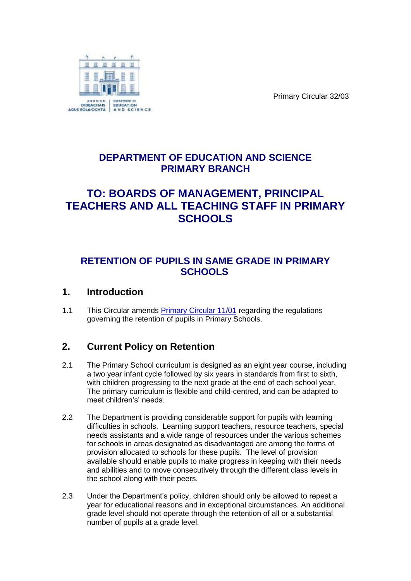

Primary Circular 32/03

## **DEPARTMENT OF EDUCATION AND SCIENCE PRIMARY BRANCH**

# **TO: BOARDS OF MANAGEMENT, PRINCIPAL TEACHERS AND ALL TEACHING STAFF IN PRIMARY SCHOOLS**

## **RETENTION OF PUPILS IN SAME GRADE IN PRIMARY SCHOOLS**

#### **1. Introduction**

1.1 This Circular amends [Primary Circular 11/01](http://www.education.ie/en/Circulars-and-Forms/Active-Circulars/Retention-of-Pupils-in-Primary-Schools.pdf) regarding the regulations governing the retention of pupils in Primary Schools.

# **2. Current Policy on Retention**

- 2.1 The Primary School curriculum is designed as an eight year course, including a two year infant cycle followed by six years in standards from first to sixth, with children progressing to the next grade at the end of each school year. The primary curriculum is flexible and child-centred, and can be adapted to meet children's' needs.
- 2.2 The Department is providing considerable support for pupils with learning difficulties in schools. Learning support teachers, resource teachers, special needs assistants and a wide range of resources under the various schemes for schools in areas designated as disadvantaged are among the forms of provision allocated to schools for these pupils. The level of provision available should enable pupils to make progress in keeping with their needs and abilities and to move consecutively through the different class levels in the school along with their peers.
- 2.3 Under the Department's policy, children should only be allowed to repeat a year for educational reasons and in exceptional circumstances. An additional grade level should not operate through the retention of all or a substantial number of pupils at a grade level.